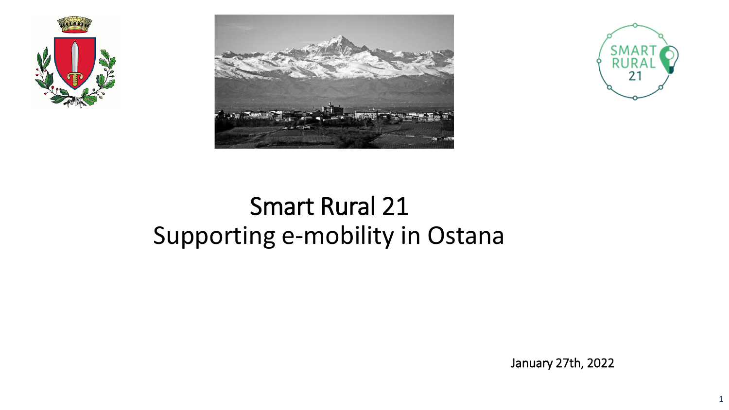





# Smart Rural 21 Supporting e-mobility in Ostana

January 27th, 2022

1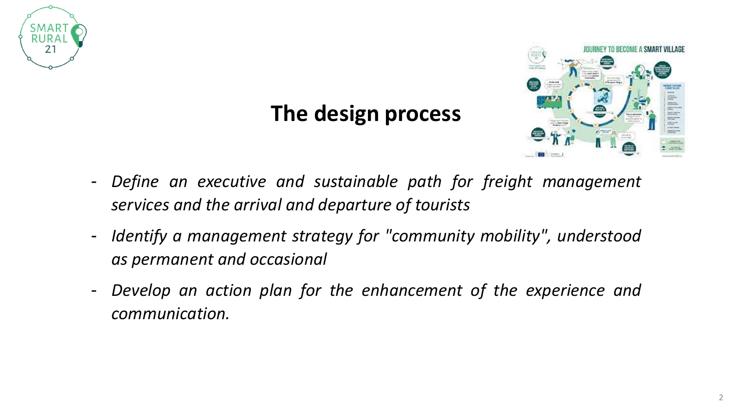

## **The design process**



- *Define an executive and sustainable path for freight management services and the arrival and departure of tourists*
- *Identify a management strategy for "community mobility", understood as permanent and occasional*
- *Develop an action plan for the enhancement of the experience and communication.*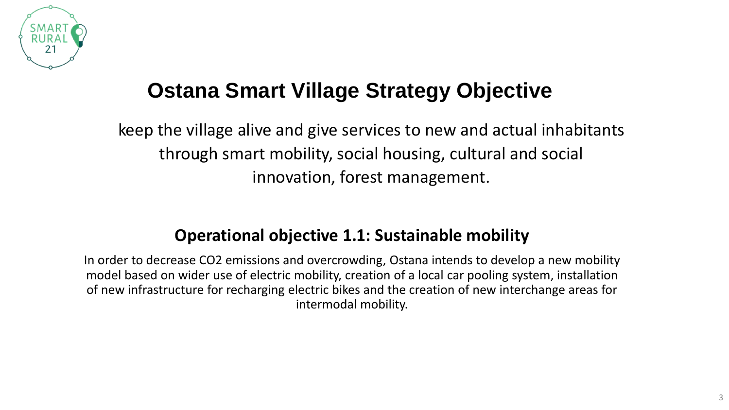

## **Ostana Smart Village Strategy Objective**

keep the village alive and give services to new and actual inhabitants through smart mobility, social housing, cultural and social innovation, forest management.

#### **Operational objective 1.1: Sustainable mobility**

In order to decrease CO2 emissions and overcrowding, Ostana intends to develop a new mobility model based on wider use of electric mobility, creation of a local car pooling system, installation of new infrastructure for recharging electric bikes and the creation of new interchange areas for intermodal mobility.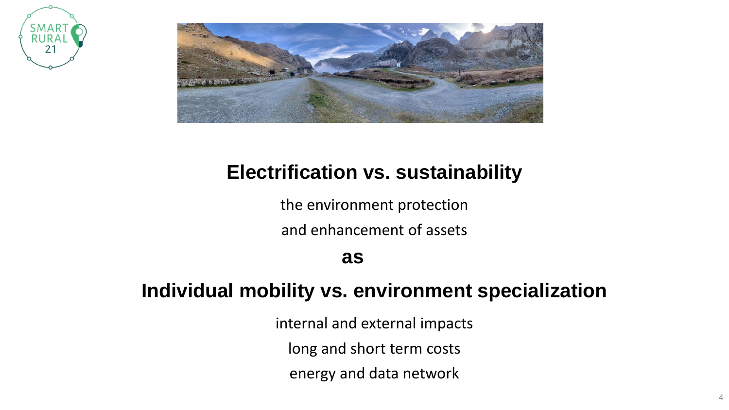



## **Electrification vs. sustainability**

the environment protection and enhancement of assets

**as**

### **Individual mobility vs. environment specialization**

internal and external impacts long and short term costs energy and data network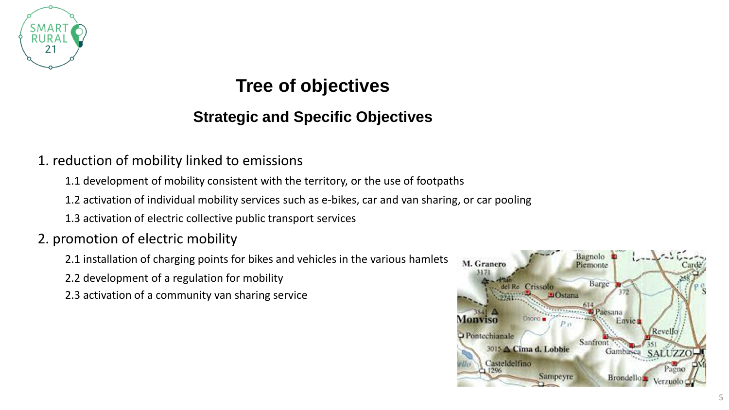

### **Tree of objectives**

#### **Strategic and Specific Objectives**

#### 1. reduction of mobility linked to emissions

1.1 development of mobility consistent with the territory, or the use of footpaths

1.2 activation of individual mobility services such as e-bikes, car and van sharing, or car pooling

1.3 activation of electric collective public transport services

#### 2. promotion of electric mobility

2.1 installation of charging points for bikes and vehicles in the various hamlets

2.2 development of a regulation for mobility

2.3 activation of a community van sharing service

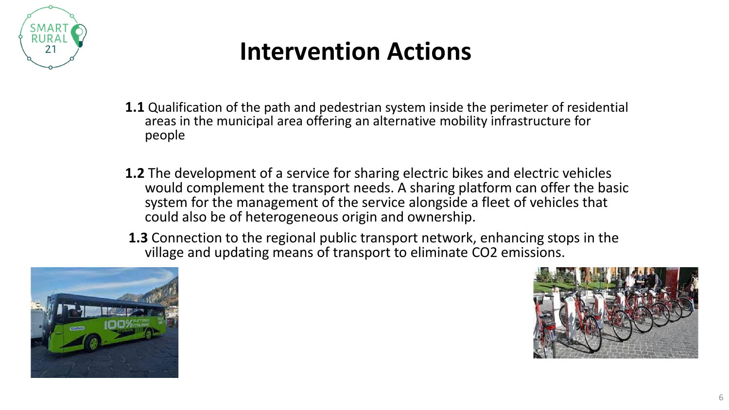

# **Intervention Actions**

- **1.1** Qualification of the path and pedestrian system inside the perimeter of residential areas in the municipal area offering an alternative mobility infrastructure for people
- **1.2** The development of a service for sharing electric bikes and electric vehicles would complement the transport needs. A sharing platform can offer the basic system for the management of the service alongside a fleet of vehicles that could also be of heterogeneous origin and ownership.
- **1.3** Connection to the regional public transport network, enhancing stops in the village and updating means of transport to eliminate CO2 emissions.



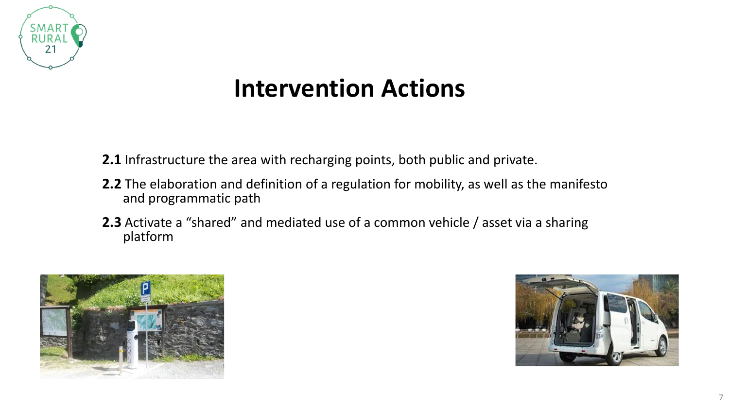

# **Intervention Actions**

**2.1** Infrastructure the area with recharging points, both public and private.

- **2.2** The elaboration and definition of a regulation for mobility, as well as the manifesto and programmatic path
- **2.3** Activate a "shared" and mediated use of a common vehicle / asset via a sharing platform



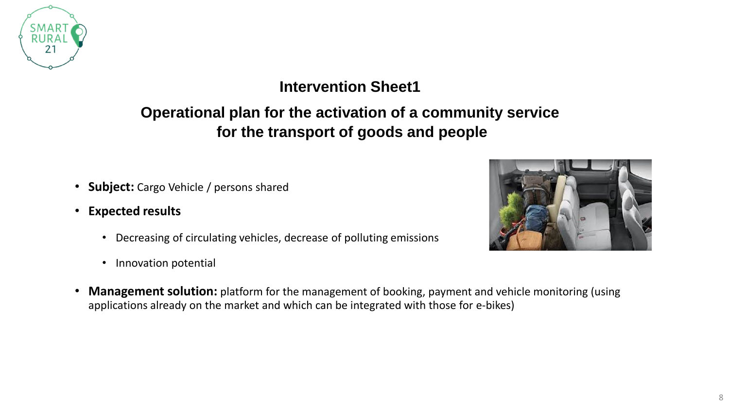

#### **Intervention Sheet1**

#### **Operational plan for the activation of a community service for the transport of goods and people**

- **Subject:** Cargo Vehicle / persons shared
- **Expected results**
	- Decreasing of circulating vehicles, decrease of polluting emissions
	- Innovation potential
- **Management solution:** platform for the management of booking, payment and vehicle monitoring (using applications already on the market and which can be integrated with those for e-bikes)

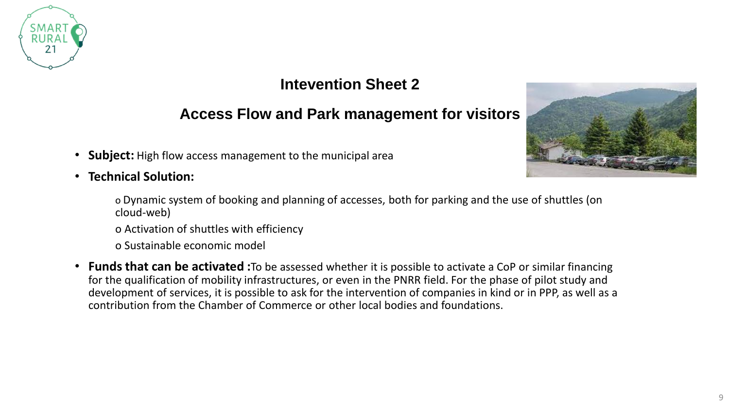

#### **Intevention Sheet 2**

#### **Access Flow and Park management for visitors**

- **Subject:** High flow access management to the municipal area
- **Technical Solution:**



o Activation of shuttles with efficiency

o Sustainable economic model

• **Funds that can be activated :**To be assessed whether it is possible to activate a CoP or similar financing for the qualification of mobility infrastructures, or even in the PNRR field. For the phase of pilot study and development of services, it is possible to ask for the intervention of companies in kind or in PPP, as well as a contribution from the Chamber of Commerce or other local bodies and foundations.

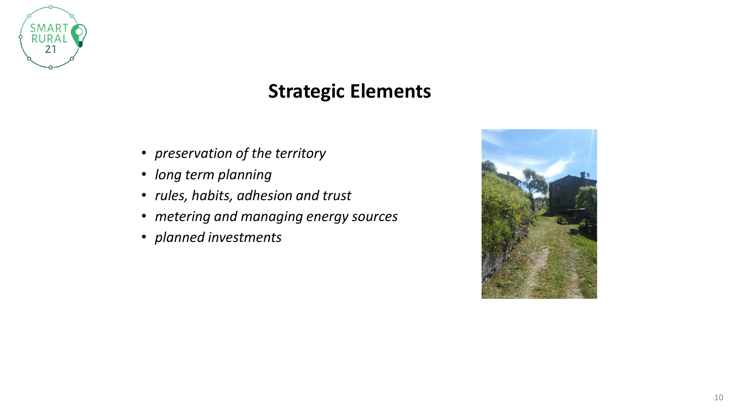

## **Strategic Elements**

- *preservation of the territory*
- *long term planning*
- *rules, habits, adhesion and trust*
- *metering and managing energy sources*
- *planned investments*